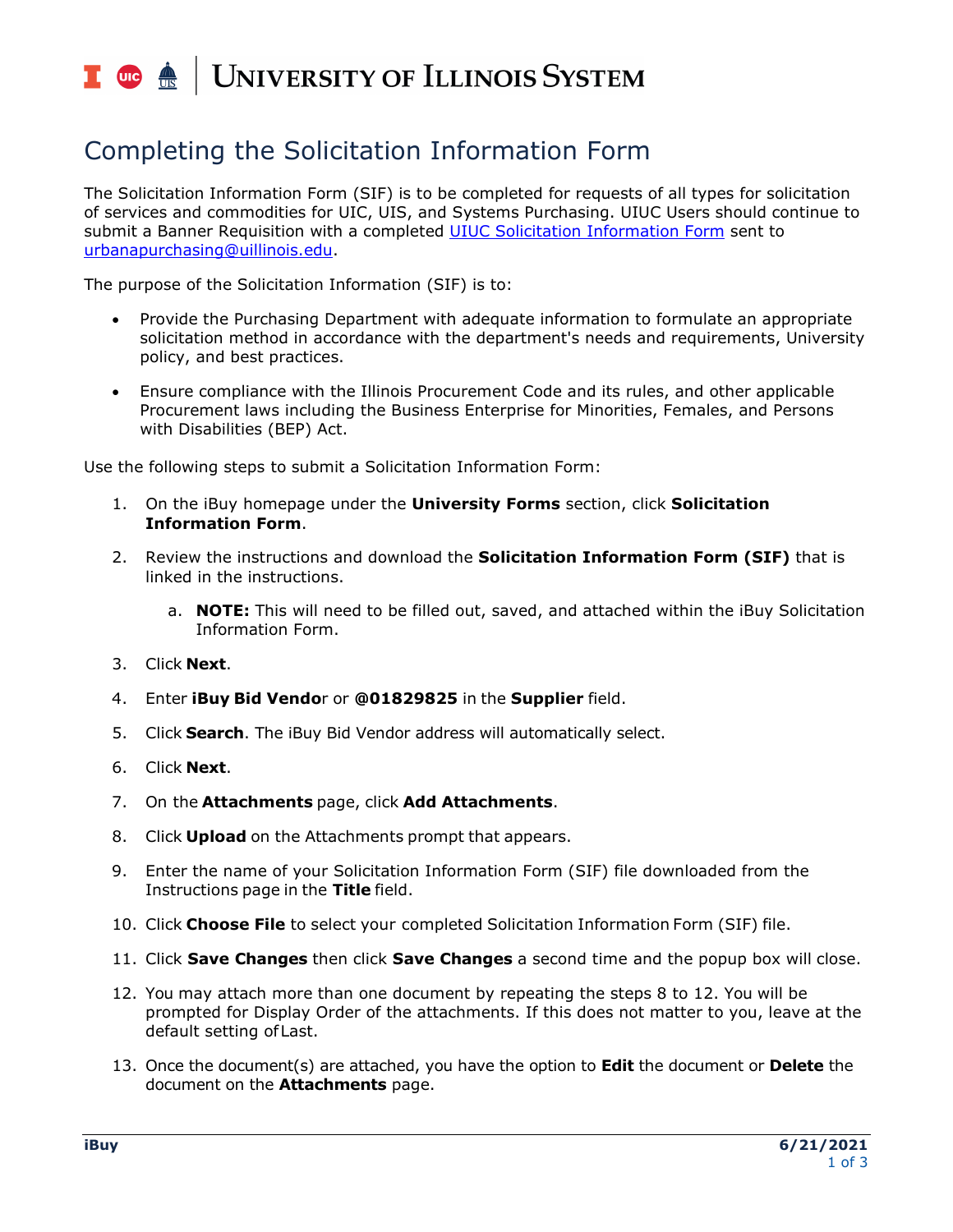### UNIVERSITY OF ILLINOIS SYSTEM T uie <u>on</u>

# Completing the Solicitation Information Form

The Solicitation Information Form (SIF) is to be completed for requests of all types for solicitation of services and commodities for UIC, UIS, and Systems Purchasing. UIUC Users should continue to submit a Banner Requisition with a completed [UIUC Solicitation Information Form](https://www.obfs.uillinois.edu/common/pages/DisplayFile.aspx?itemId=225098) sent to [urbanapurchasing@uillinois.edu.](mailto:urbanapurchasing@uillinois.edu)

The purpose of the Solicitation Information (SIF) is to:

- Provide the Purchasing Department with adequate information to formulate an appropriate solicitation method in accordance with the department's needs and requirements, University policy, and best practices.
- Ensure compliance with the Illinois Procurement Code and its rules, and other applicable Procurement laws including the Business Enterprise for Minorities, Females, and Persons with Disabilities (BEP) Act.

Use the following steps to submit a Solicitation Information Form:

- 1. On the iBuy homepage under the **University Forms** section, click **Solicitation Information Form**.
- 2. Review the instructions and download the **Solicitation Information Form (SIF)** that is linked in the instructions.
	- a. **NOTE:** This will need to be filled out, saved, and attached within the iBuy Solicitation Information Form.
- 3. Click **Next**.
- 4. Enter **iBuy Bid Vendo**r or **@01829825** in the **Supplier** field.
- 5. Click **Search**. The iBuy Bid Vendor address will automatically select.
- 6. Click **Next**.
- 7. On the **Attachments** page, click **Add Attachments**.
- 8. Click **Upload** on the Attachments prompt that appears.
- 9. Enter the name of your Solicitation Information Form (SIF) file downloaded from the Instructions page in the **Title** field.
- 10. Click **Choose File** to select your completed Solicitation Information Form (SIF) file.
- 11. Click **Save Changes** then click **Save Changes** a second time and the popup box will close.
- 12. You may attach more than one document by repeating the steps 8 to 12. You will be prompted for Display Order of the attachments. If this does not matter to you, leave at the default setting ofLast.
- 13. Once the document(s) are attached, you have the option to **Edit** the document or **Delete** the document on the **Attachments** page.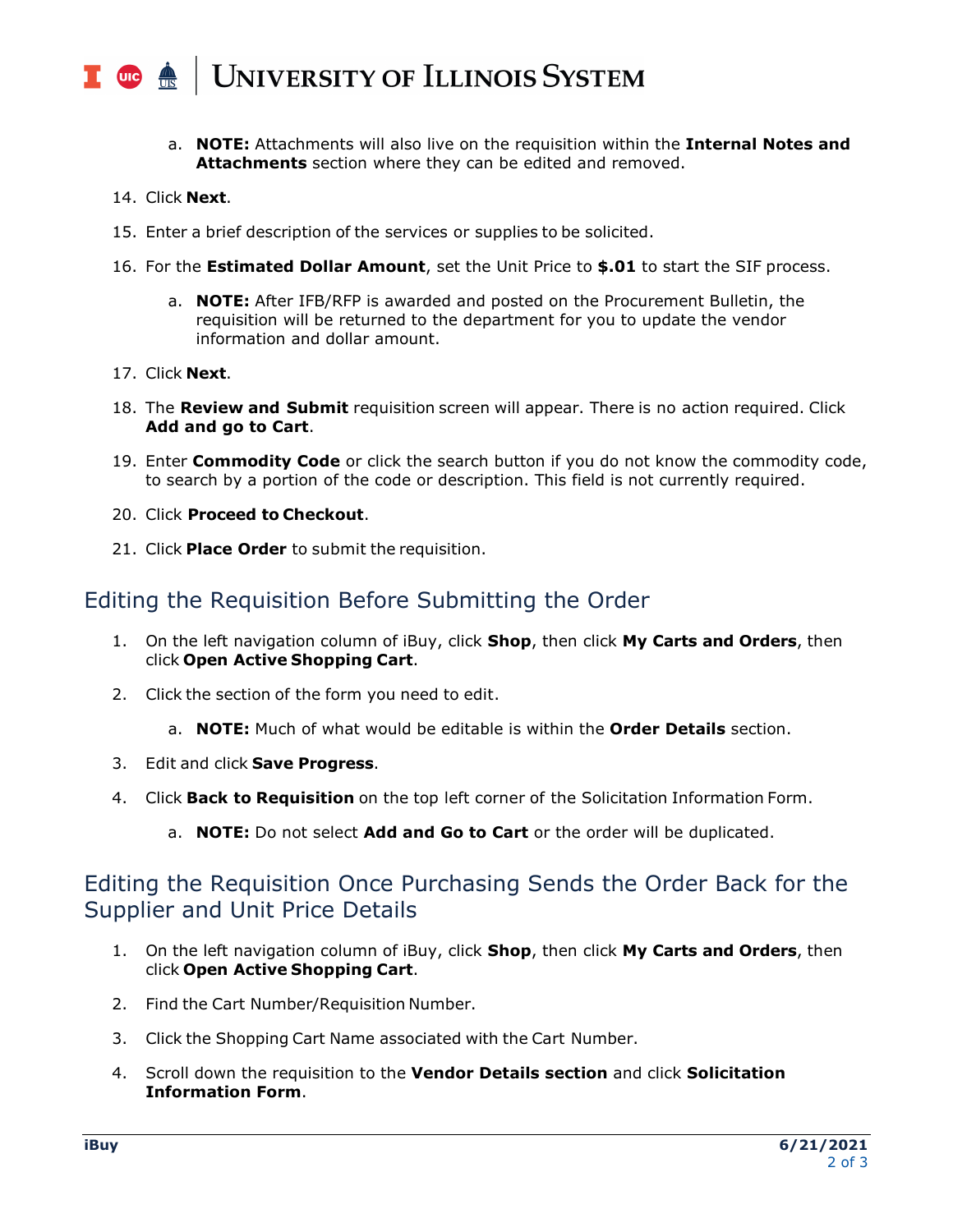#### UNIVERSITY OF ILLINOIS SYSTEM  $\blacksquare$  ore  $\spadesuit$

- a. **NOTE:** Attachments will also live on the requisition within the **Internal Notes and Attachments** section where they can be edited and removed.
- 14. Click **Next**.
- 15. Enter a brief description of the services or supplies to be solicited.
- 16. For the **Estimated Dollar Amount**, set the Unit Price to **\$.01** to start the SIF process.
	- a. **NOTE:** After IFB/RFP is awarded and posted on the Procurement Bulletin, the requisition will be returned to the department for you to update the vendor information and dollar amount.
- 17. Click **Next**.
- 18. The **Review and Submit** requisition screen will appear. There is no action required. Click **Add and go to Cart**.
- 19. Enter **Commodity Code** or click the search button if you do not know the commodity code, to search by a portion of the code or description. This field is not currently required.
- 20. Click **Proceed to Checkout**.
- 21. Click **Place Order** to submit the requisition.

## Editing the Requisition Before Submitting the Order

- 1. On the left navigation column of iBuy, click **Shop**, then click **My Carts and Orders**, then click **Open Active Shopping Cart**.
- 2. Click the section of the form you need to edit.
	- a. **NOTE:** Much of what would be editable is within the **Order Details** section.
- 3. Edit and click **Save Progress**.
- 4. Click **Back to Requisition** on the top left corner of the Solicitation Information Form.
	- a. **NOTE:** Do not select **Add and Go to Cart** or the order will be duplicated.

## Editing the Requisition Once Purchasing Sends the Order Back for the Supplier and Unit Price Details

- 1. On the left navigation column of iBuy, click **Shop**, then click **My Carts and Orders**, then click **Open Active Shopping Cart**.
- 2. Find the Cart Number/Requisition Number.
- 3. Click the Shopping Cart Name associated with the Cart Number.
- 4. Scroll down the requisition to the **Vendor Details section** and click **Solicitation Information Form**.